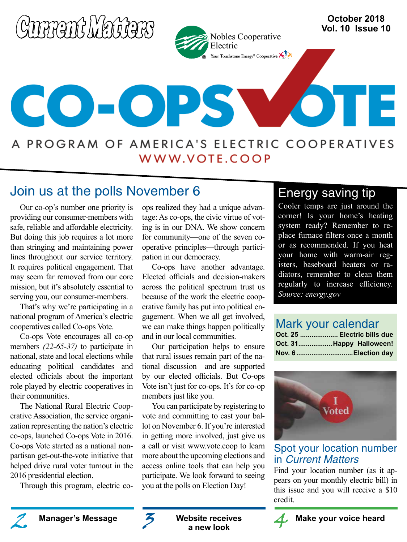

## Join us at the polls November 6

Our co-op's number one priority is providing our consumer-members with safe, reliable and affordable electricity. But doing this job requires a lot more than stringing and maintaining power lines throughout our service territory. It requires political engagement. That may seem far removed from our core mission, but it's absolutely essential to serving you, our consumer-members.

That's why we're participating in a national program of America's electric cooperatives called Co-ops Vote.

Co-ops Vote encourages all co-op members *(22-65-37)* to participate in national, state and local elections while educating political candidates and elected officials about the important role played by electric cooperatives in their communities.

The National Rural Electric Cooperative Association, the service organization representing the nation's electric co-ops, launched Co-ops Vote in 2016. Co-ops Vote started as a national nonpartisan get-out-the-vote initiative that helped drive rural voter turnout in the 2016 presidential election.

Through this program, electric co-

ops realized they had a unique advantage: As co-ops, the civic virtue of voting is in our DNA. We show concern for community—one of the seven cooperative principles—through participation in our democracy.

Co-ops have another advantage. Elected officials and decision-makers across the political spectrum trust us because of the work the electric cooperative family has put into political engagement. When we all get involved, we can make things happen politically and in our local communities.

Our participation helps to ensure that rural issues remain part of the national discussion—and are supported by our elected officials. But Co-ops Vote isn't just for co-ops. It's for co-op members just like you.

You can participate by registering to vote and committing to cast your ballot on November 6. If you're interested in getting more involved, just give us a call or visit www.vote.coop to learn more about the upcoming elections and access online tools that can help you participate. We look forward to seeing you at the polls on Election Day!

## Energy saving tip

Cooler temps are just around the corner! Is your home's heating system ready? Remember to replace furnace filters once a month or as recommended. If you heat your home with warm-air registers, baseboard heaters or radiators, remember to clean them regularly to increase efficiency. *Source: energy.gov*

## Mark your calendar

|  | Oct. 25  Electric bills due |  |
|--|-----------------------------|--|
|  | Oct. 31Happy Halloween!     |  |
|  | Nov. 6Election day          |  |



### Spot your location number in Current Matters

Find your location number (as it appears on your monthly electric bill) in this issue and you will receive a \$10 credit.





**Website receives a new look**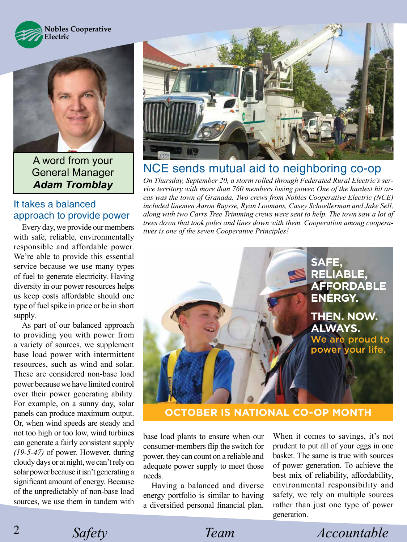



A word from your General Manager *Adam Tromblay*

### It takes a balanced approach to provide power

Every day, we provide our members with safe, reliable, environmentally responsible and affordable power. We're able to provide this essential service because we use many types of fuel to generate electricity. Having diversity in our power resources helps us keep costs affordable should one type of fuel spike in price or be in short supply.

As part of our balanced approach to providing you with power from a variety of sources, we supplement base load power with intermittent resources, such as wind and solar. These are considered non-base load power because we have limited control over their power generating ability. For example, on a sunny day, solar panels can produce maximum output. Or, when wind speeds are steady and not too high or too low, wind turbines can generate a fairly consistent supply *(19-5-47)* of power. However, during cloudy days or at night, we can't rely on solar power because it isn't generating a significant amount of energy. Because of the unpredictably of non-base load sources, we use them in tandem with



## NCE sends mutual aid to neighboring co-op

*On Thursday, September 20, a storm rolled through Federated Rural Electric's service territory with more than 760 members losing power. One of the hardest hit areas was the town of Granada. Two crews from Nobles Cooperative Electric (NCE) included linemen Aaron Buysse, Ryan Loomans, Casey Schoellerman and Jake Sell, along with two Carrs Tree Trimming crews were sent to help. The town saw a lot of trees down that took poles and lines down with them. Cooperation among cooperatives is one of the seven Cooperative Principles!*



**OCTOBER IS NATIONAL CO-OP MONTH** 

base load plants to ensure when our consumer-members flip the switch for power, they can count on a reliable and adequate power supply to meet those needs.

Having a balanced and diverse energy portfolio is similar to having a diversified personal financial plan.

When it comes to savings, it's not prudent to put all of your eggs in one basket. The same is true with sources of power generation. To achieve the best mix of reliability, affordability, environmental responsibility and safety, we rely on multiple sources rather than just one type of power generation.

*Safety Team Accountable*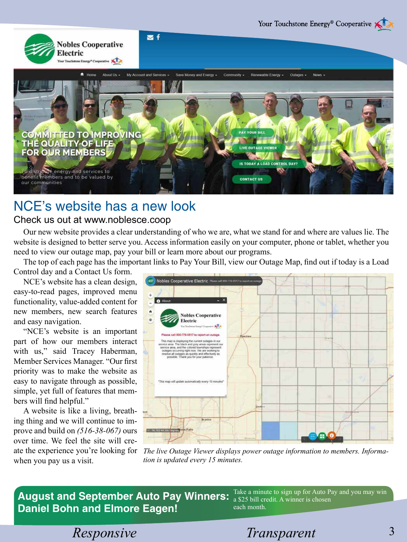

# NCE's website has a new look

### Check us out at www.noblesce.coop

Our new website provides a clear understanding of who we are, what we stand for and where are values lie. The website is designed to better serve you. Access information easily on your computer, phone or tablet, whether you need to view our outage map, pay your bill or learn more about our programs.

The top of each page has the important links to Pay Your Bill, view our Outage Map, find out if today is a Load Control day and a Contact Us form.

NCE's website has a clean design, easy-to-read pages, improved menu functionality, value-added content for new members, new search features and easy navigation.

"NCE's website is an important part of how our members interact with us," said Tracey Haberman, Member Services Manager. "Our first priority was to make the website as easy to navigate through as possible, simple, yet full of features that members will find helpful."

A website is like a living, breathing thing and we will continue to improve and build on *(516-38-067)* ours over time. We feel the site will create the experience you're looking for when you pay us a visit.



*The live Outage Viewer displays power outage information to members. Information is updated every 15 minutes.* 

**August and September Auto Pay Winners: Daniel Bohn and Elmore Eagen!**

Take a minute to sign up for Auto Pay and you may win a \$25 bill credit. A winner is chosen each month.

*Responsive* Transparent